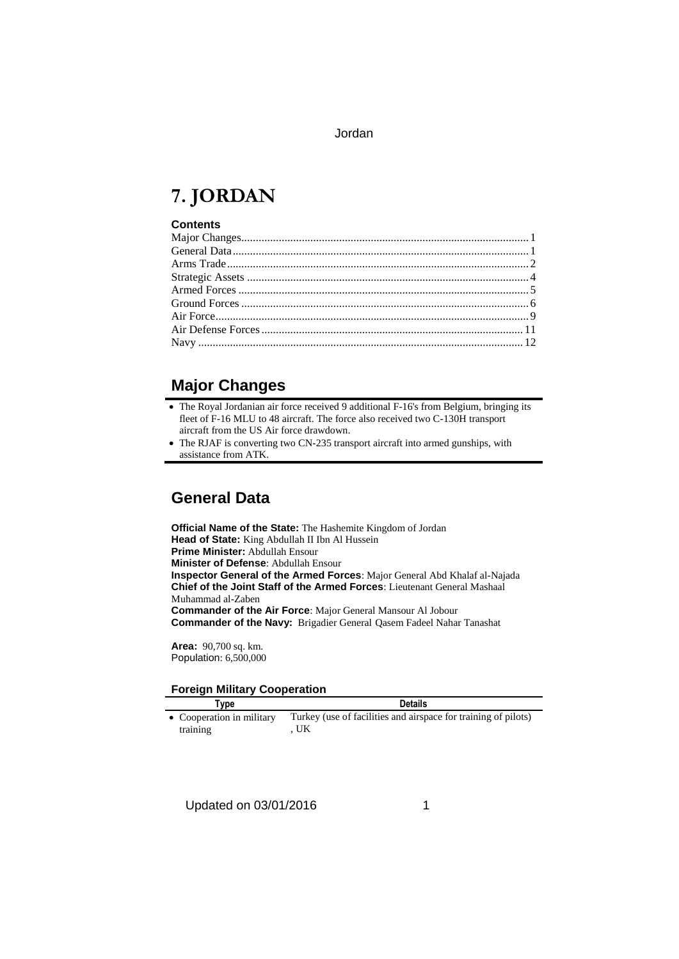# **7. JORDAN**

#### **Contents**

## **Major Changes**

- The Royal Jordanian air force received 9 additional F-16's from Belgium, bringing its fleet of F-16 MLU to 48 aircraft. The force also received two C-130H transport aircraft from the US Air force drawdown.
- The RJAF is converting two CN-235 transport aircraft into armed gunships, with assistance from ATK.

## **General Data**

**Official Name of the State:** The Hashemite Kingdom of Jordan **Head of State:** King Abdullah II Ibn Al Hussein **Prime Minister:** Abdullah Ensour **Minister of Defense**: Abdullah Ensour **Inspector General of the Armed Forces**: Major General Abd Khalaf al-Najada **Chief of the Joint Staff of the Armed Forces**: Lieutenant General Mashaal Muhammad al-Zaben **Commander of the Air Force**: Major General Mansour Al Jobour **Commander of the Navy:** Brigadier General Qasem Fadeel Nahar Tanashat

**Area:** 90,700 sq. km. Population: 6,500,000

#### **Foreign Military Cooperation**

| $1$ ordign minimum $\gamma$ occuperation. |                                                                      |
|-------------------------------------------|----------------------------------------------------------------------|
| ⊺vpe                                      | <b>Details</b>                                                       |
| • Cooperation in military<br>training     | Turkey (use of facilities and airspace for training of pilots)<br>UK |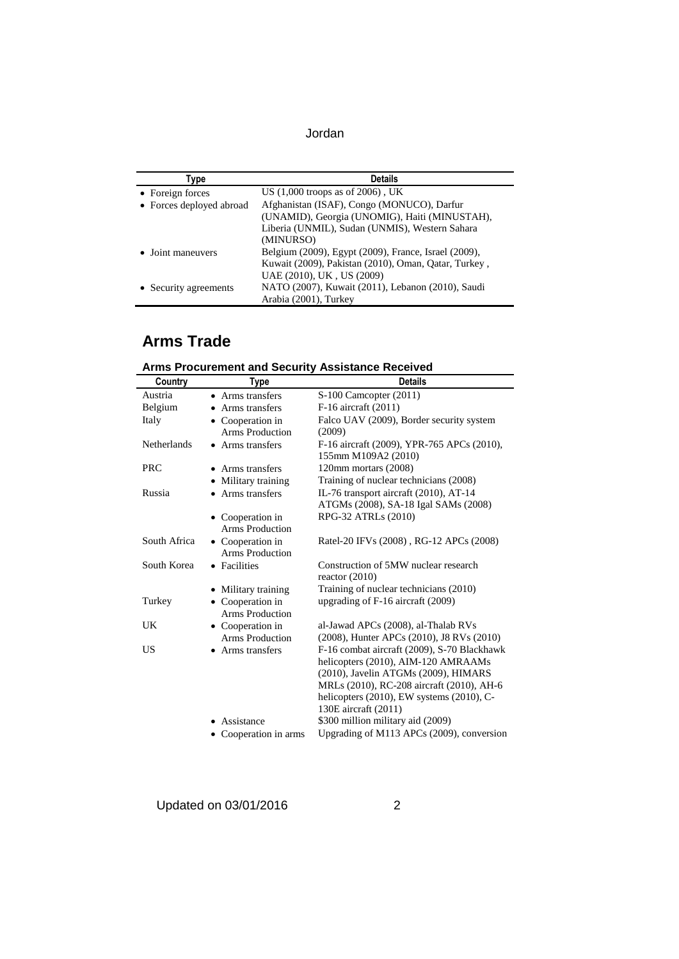| Type                     | <b>Details</b>                                       |
|--------------------------|------------------------------------------------------|
| • Foreign forces         | US $(1,000$ troops as of 2006), UK                   |
| • Forces deployed abroad | Afghanistan (ISAF), Congo (MONUCO), Darfur           |
|                          | (UNAMID), Georgia (UNOMIG), Haiti (MINUSTAH),        |
|                          | Liberia (UNMIL), Sudan (UNMIS), Western Sahara       |
|                          | (MINURSO)                                            |
| • Joint maneuvers        | Belgium (2009), Egypt (2009), France, Israel (2009), |
|                          | Kuwait (2009), Pakistan (2010), Oman, Qatar, Turkey, |
|                          | UAE (2010), UK, US (2009)                            |
| • Security agreements    | NATO (2007), Kuwait (2011), Lebanon (2010), Saudi    |
|                          | Arabia (2001), Turkey                                |

# **Arms Trade**

| <b>Arms Procurement and Security Assistance Received</b> |  |
|----------------------------------------------------------|--|
|----------------------------------------------------------|--|

| Country            | Type                   | <b>Details</b>                                                    |
|--------------------|------------------------|-------------------------------------------------------------------|
| Austria            | • Arms transfers       | S-100 Camcopter (2011)                                            |
| Belgium            | • Arms transfers       | F-16 aircraft (2011)                                              |
| Italy              | • Cooperation in       | Falco UAV (2009), Border security system                          |
|                    | <b>Arms Production</b> | (2009)                                                            |
| <b>Netherlands</b> | • Arms transfers       | F-16 aircraft (2009), YPR-765 APCs (2010),<br>155mm M109A2 (2010) |
| <b>PRC</b>         | • Arms transfers       | 120mm mortars (2008)                                              |
|                    | • Military training    | Training of nuclear technicians (2008)                            |
| Russia             | • Arms transfers       | IL-76 transport aircraft (2010), AT-14                            |
|                    |                        | ATGMs (2008), SA-18 Igal SAMs (2008)                              |
|                    | • Cooperation in       | RPG-32 ATRLs (2010)                                               |
|                    | <b>Arms Production</b> |                                                                   |
| South Africa       | • Cooperation in       | Ratel-20 IFVs (2008), RG-12 APCs (2008)                           |
|                    | Arms Production        |                                                                   |
| South Korea        | • Facilities           | Construction of 5MW nuclear research<br>reactor $(2010)$          |
|                    | Military training      | Training of nuclear technicians (2010)                            |
| Turkey             | • Cooperation in       | upgrading of F-16 aircraft (2009)                                 |
|                    | <b>Arms Production</b> |                                                                   |
| UK.                | • Cooperation in       | al-Jawad APCs (2008), al-Thalab RVs                               |
|                    | <b>Arms Production</b> | (2008), Hunter APCs (2010), J8 RVs (2010)                         |
| US                 | • Arms transfers       | F-16 combat aircraft (2009), S-70 Blackhawk                       |
|                    |                        | helicopters (2010), AIM-120 AMRAAMs                               |
|                    |                        | (2010), Javelin ATGMs (2009), HIMARS                              |
|                    |                        | MRLs (2010), RC-208 aircraft (2010), AH-6                         |
|                    |                        | helicopters $(2010)$ , EW systems $(2010)$ , C-                   |
|                    |                        | 130E aircraft (2011)                                              |
|                    | Assistance             | \$300 million military aid (2009)                                 |
|                    | • Cooperation in arms  | Upgrading of M113 APCs (2009), conversion                         |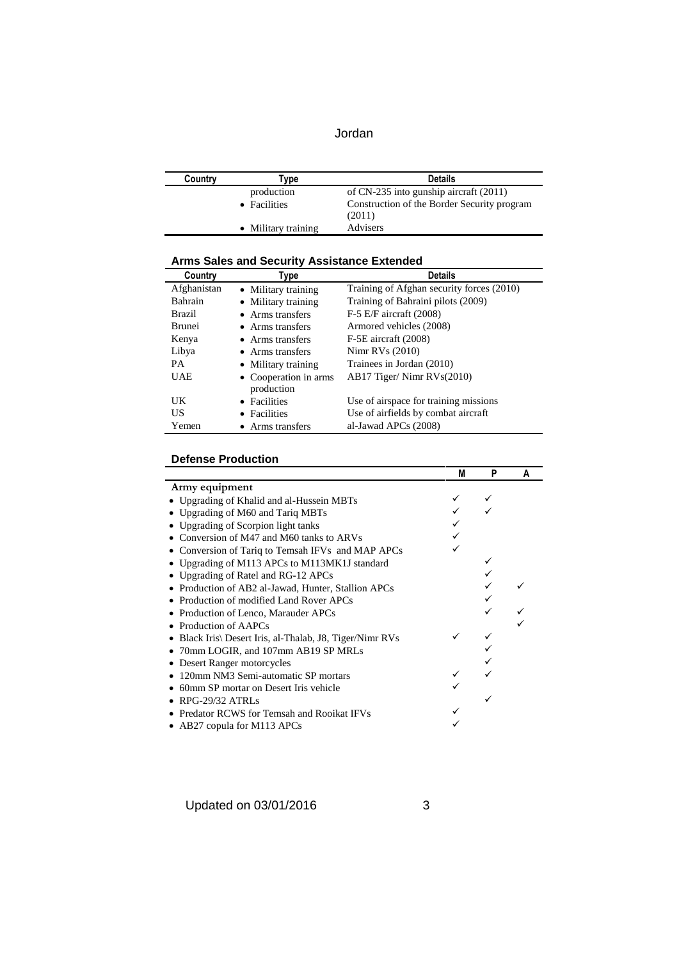| Jordan |  |
|--------|--|
|--------|--|

| Country | Type                | <b>Details</b>                              |
|---------|---------------------|---------------------------------------------|
|         | production          | of $CN-235$ into gunship aircraft $(2011)$  |
|         | • Facilities        | Construction of the Border Security program |
|         |                     | (2011)                                      |
|         | • Military training | Advisers                                    |

| <b>Arms Sales and Security Assistance Extended</b> |  |
|----------------------------------------------------|--|
|----------------------------------------------------|--|

| Country       | Type                  | <b>Details</b>                            |
|---------------|-----------------------|-------------------------------------------|
| Afghanistan   | • Military training   | Training of Afghan security forces (2010) |
| Bahrain       | • Military training   | Training of Bahraini pilots (2009)        |
| <b>Brazil</b> | • Arms transfers      | $F-5$ E/F aircraft (2008)                 |
| <b>Brunei</b> | • Arms transfers      | Armored vehicles (2008)                   |
| Kenya         | • Arms transfers      | F-5E aircraft (2008)                      |
| Libya         | • Arms transfers      | Nimr RVs $(2010)$                         |
| <b>PA</b>     | • Military training   | Trainees in Jordan (2010)                 |
| <b>UAE</b>    | • Cooperation in arms | $AB17$ Tiger/Nimr RVs $(2010)$            |
|               | production            |                                           |
| UK            | • Facilities          | Use of airspace for training missions     |
| US            | • Facilities          | Use of airfields by combat aircraft       |
| Yemen         | • Arms transfers      | al-Jawad APCs (2008)                      |

#### **Defense Production**

|                                                       | М | P | А |
|-------------------------------------------------------|---|---|---|
| Army equipment                                        |   |   |   |
| • Upgrading of Khalid and al-Hussein MBTs             |   |   |   |
| Upgrading of M60 and Tariq MBTs                       |   |   |   |
| Upgrading of Scorpion light tanks                     |   |   |   |
| Conversion of M47 and M60 tanks to ARVs               |   |   |   |
| Conversion of Tariq to Temsah IFVs and MAP APCs       |   |   |   |
| Upgrading of M113 APCs to M113MK1J standard           |   |   |   |
| Upgrading of Ratel and RG-12 APCs                     |   |   |   |
| • Production of AB2 al-Jawad, Hunter, Stallion APCs   |   |   |   |
| Production of modified Land Rover APCs                |   |   |   |
| • Production of Lenco, Marauder APCs                  |   |   |   |
| Production of AAPCs                                   |   |   |   |
| Black Iris Desert Iris, al-Thalab, J8, Tiger/Nimr RVs |   |   |   |
| 70mm LOGIR, and 107mm AB19 SP MRLs                    |   |   |   |
| Desert Ranger motorcycles                             |   |   |   |
| 120mm NM3 Semi-automatic SP mortars                   |   |   |   |
| 60mm SP mortar on Desert Iris vehicle                 |   |   |   |
| RPG-29/32 ATRLs                                       |   |   |   |
| Predator RCWS for Temsah and Rooikat IFVs             |   |   |   |
| • AB27 copula for M113 APCs                           |   |   |   |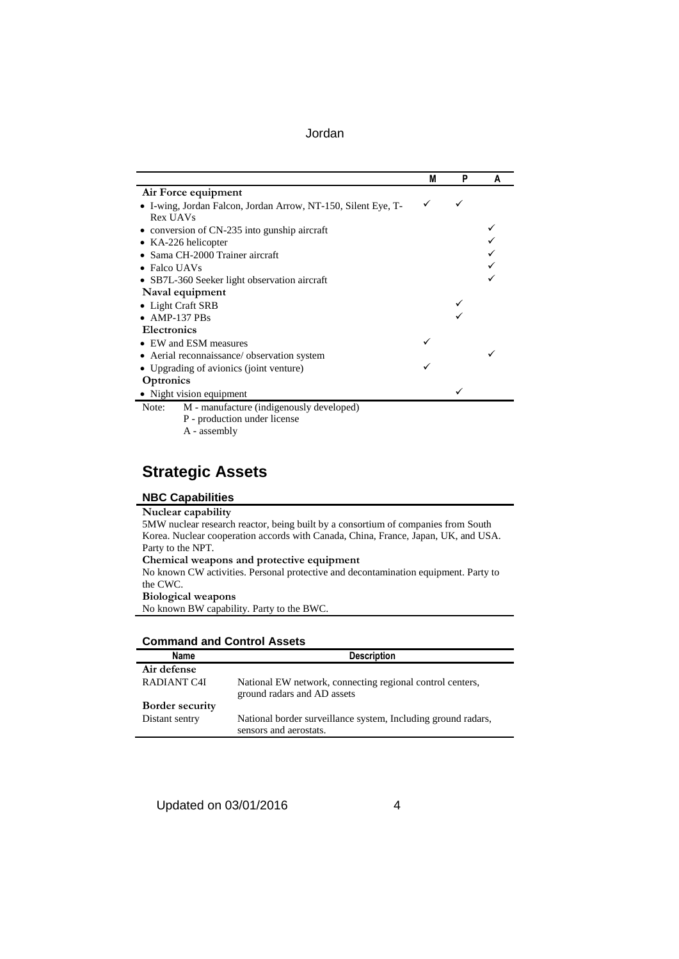|                                                               | M | P | A |
|---------------------------------------------------------------|---|---|---|
| Air Force equipment                                           |   |   |   |
| • I-wing, Jordan Falcon, Jordan Arrow, NT-150, Silent Eye, T- |   |   |   |
| Rex UAVs                                                      |   |   |   |
| • conversion of CN-235 into gunship aircraft                  |   |   |   |
| • KA-226 helicopter                                           |   |   |   |
| Sama CH-2000 Trainer aircraft                                 |   |   |   |
| $\bullet$ Falco UAVs                                          |   |   |   |
| • SB7L-360 Seeker light observation aircraft                  |   |   |   |
| Naval equipment                                               |   |   |   |
| • Light Craft SRB                                             |   |   |   |
| $\bullet$ AMP-137 PBs                                         |   |   |   |
| <b>Electronics</b>                                            |   |   |   |
| • EW and ESM measures                                         |   |   |   |
| • Aerial reconnaissance/ observation system                   |   |   |   |
| • Upgrading of avionics (joint venture)                       |   |   |   |
| Optronics                                                     |   |   |   |
| • Night vision equipment                                      |   |   |   |
| M - manufacture (indigenously developed)<br>Note:             |   |   |   |
| P - production under license                                  |   |   |   |
| A - assembly                                                  |   |   |   |

# **Strategic Assets**

## **NBC Capabilities**

| Nuclear capability                                                                  |
|-------------------------------------------------------------------------------------|
| 5MW nuclear research reactor, being built by a consortium of companies from South   |
| Korea. Nuclear cooperation accords with Canada, China, France, Japan, UK, and USA.  |
| Party to the NPT.                                                                   |
| Chemical weapons and protective equipment                                           |
| No known CW activities. Personal protective and decontamination equipment. Party to |
| the CWC.                                                                            |
| <b>Biological weapons</b>                                                           |
| No known BW capability. Party to the BWC.                                           |
|                                                                                     |

| <b>Command and Control Assets</b> |  |
|-----------------------------------|--|
|-----------------------------------|--|

| Name                   | <b>Description</b>                                                                       |
|------------------------|------------------------------------------------------------------------------------------|
| Air defense            |                                                                                          |
| RADIANT C4I            | National EW network, connecting regional control centers,<br>ground radars and AD assets |
| <b>Border security</b> |                                                                                          |
| Distant sentry         | National border surveillance system, Including ground radars,<br>sensors and aerostats.  |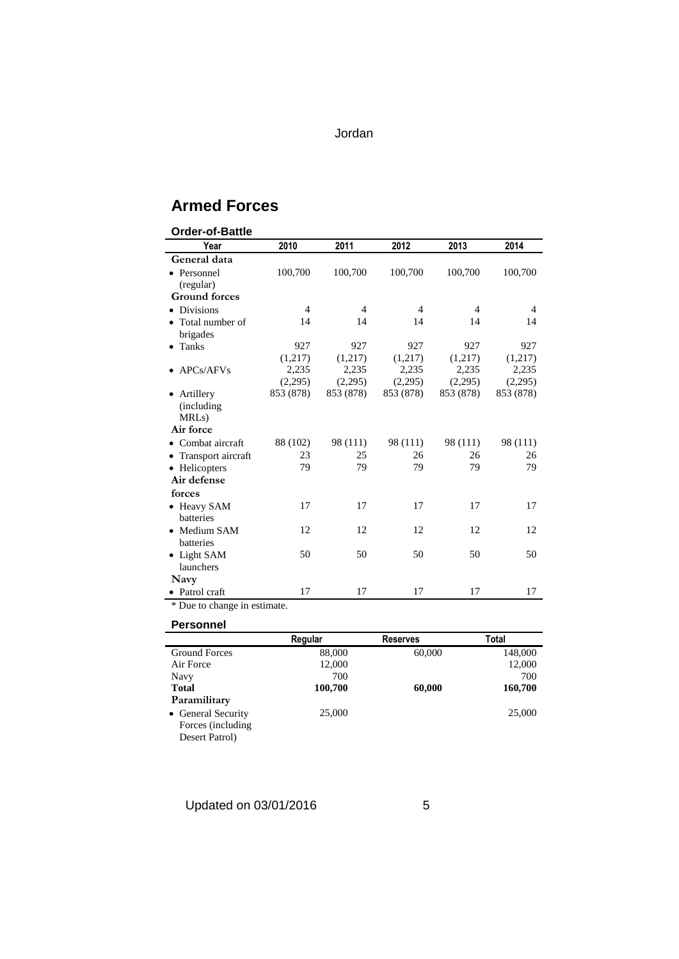## **Armed Forces**

| 2013<br>2010<br>2011<br>2012<br>2014<br>Year<br>General data                                               |  |
|------------------------------------------------------------------------------------------------------------|--|
|                                                                                                            |  |
|                                                                                                            |  |
| 100,700<br>100,700<br>100,700<br>100,700<br>100,700<br>• Personnel                                         |  |
| (regular)                                                                                                  |  |
| <b>Ground forces</b>                                                                                       |  |
| <b>Divisions</b><br>$\overline{4}$<br>$\overline{4}$<br>$\overline{4}$<br>$\overline{4}$<br>$\overline{4}$ |  |
| • Total number of<br>14<br>14<br>14<br>14<br>14                                                            |  |
| brigades                                                                                                   |  |
| 927<br>927<br>927<br>927<br>927<br>Tanks<br>$\bullet$                                                      |  |
| (1,217)<br>(1,217)<br>(1,217)<br>(1,217)<br>(1,217)                                                        |  |
| 2,235<br>2,235<br>2,235<br>2,235<br>2,235<br>APCs/AFVs                                                     |  |
| (2,295)<br>(2,295)<br>(2,295)<br>(2,295)<br>(2,295)                                                        |  |
| 853 (878)<br>853 (878)<br>853 (878)<br>853 (878)<br>853 (878)<br>Artillery                                 |  |
| (including)                                                                                                |  |
| MRL <sub>s</sub> )                                                                                         |  |
| Air force                                                                                                  |  |
| 88 (102)<br>98 (111)<br>98 (111)<br>98 (111)<br>98 (111)<br>Combat aircraft                                |  |
| 23<br>25<br>26<br>Transport aircraft<br>26<br>26                                                           |  |
| 79<br>79<br>79<br>79<br>79<br>• Helicopters                                                                |  |
| Air defense                                                                                                |  |
| forces                                                                                                     |  |
| 17<br>17<br>17<br>17<br>17<br>• Heavy SAM                                                                  |  |
| <b>batteries</b>                                                                                           |  |
| 12<br>12<br>12<br>12<br>12<br>• Medium SAM                                                                 |  |
| batteries                                                                                                  |  |
| 50<br>50<br>50<br>50<br>50<br>• Light SAM                                                                  |  |
| launchers                                                                                                  |  |
| Navy                                                                                                       |  |
| 17<br>17<br>17<br>17<br>17<br>• Patrol craft                                                               |  |

\* Due to change in estimate.

**Personnel** 

|                      | Regular | <b>Reserves</b> | Total   |
|----------------------|---------|-----------------|---------|
| <b>Ground Forces</b> | 88,000  | 60,000          | 148,000 |
| Air Force            | 12,000  |                 | 12,000  |
| Navy                 | 700     |                 | 700     |
| <b>Total</b>         | 100,700 | 60,000          | 160,700 |
| Paramilitary         |         |                 |         |
| • General Security   | 25,000  |                 | 25,000  |
| Forces (including)   |         |                 |         |
| Desert Patrol)       |         |                 |         |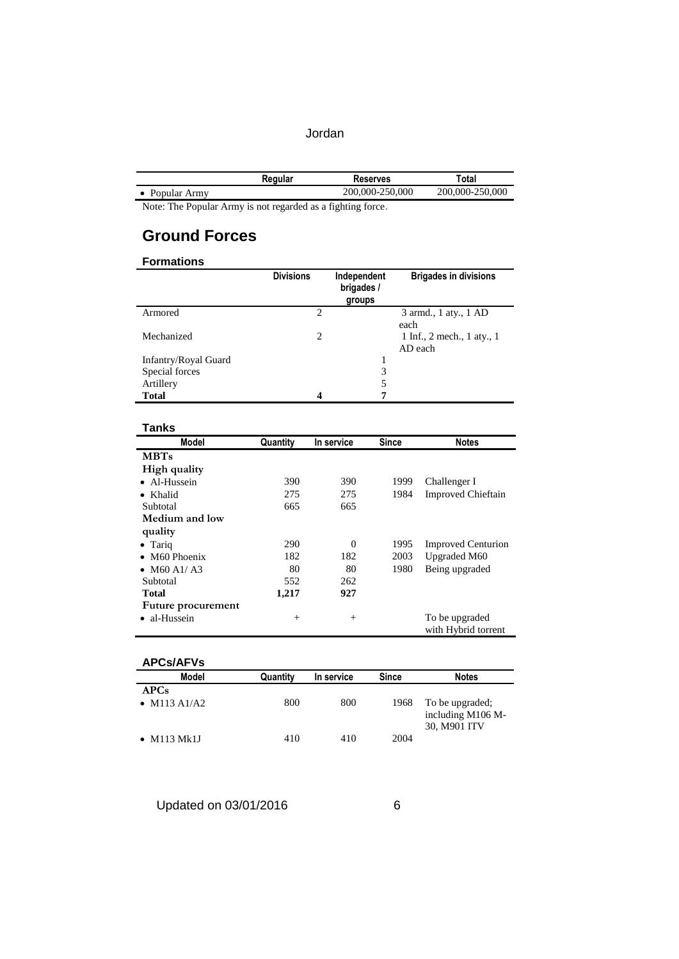|              | Regular | Reserves        | Total           |
|--------------|---------|-----------------|-----------------|
| Popular Army |         | 200,000-250,000 | 200,000-250,000 |

Note: The Popular Army is not regarded as a fighting force.

## **Ground Forces**

#### **Formations**

|                      | <b>Divisions</b> | Independent<br>brigades /<br>groups | <b>Brigades in divisions</b>          |
|----------------------|------------------|-------------------------------------|---------------------------------------|
| Armored              | $\overline{c}$   |                                     | 3 armd., 1 aty., 1 AD<br>each         |
| Mechanized           | 2                |                                     | 1 Inf., 2 mech., 1 aty., 1<br>AD each |
| Infantry/Royal Guard |                  |                                     |                                       |
| Special forces       |                  | 3                                   |                                       |
| Artillery            |                  |                                     |                                       |
| <b>Total</b>         | 4                | -                                   |                                       |

#### **Tanks**

| Model                 | Quantity | In service | <b>Since</b> | <b>Notes</b>                          |
|-----------------------|----------|------------|--------------|---------------------------------------|
| <b>MBTs</b>           |          |            |              |                                       |
| High quality          |          |            |              |                                       |
| • Al-Hussein          | 390      | 390        | 1999         | Challenger I                          |
| Khalid                | 275      | 275        | 1984         | <b>Improved Chieftain</b>             |
| Subtotal              | 665      | 665        |              |                                       |
| Medium and low        |          |            |              |                                       |
| quality               |          |            |              |                                       |
| $\bullet$ Tariq       | 290      | $\Omega$   | 1995         | <b>Improved Centurion</b>             |
| $\bullet$ M60 Phoenix | 182      | 182        | 2003         | Upgraded M60                          |
| • $M60 A1/A3$         | 80       | 80         | 1980         | Being upgraded                        |
| Subtotal              | 552      | 262        |              |                                       |
| <b>Total</b>          | 1,217    | 927        |              |                                       |
| Future procurement    |          |            |              |                                       |
| • al-Hussein          | $^{+}$   | $^{+}$     |              | To be upgraded<br>with Hybrid torrent |

#### **APCs/AFVs**

| Model                | Quantity | In service | <b>Since</b> | <b>Notes</b>                                         |
|----------------------|----------|------------|--------------|------------------------------------------------------|
| APCs<br>• M113 A1/A2 | 800      | 800        | 1968         | To be upgraded;<br>including M106 M-<br>30, M901 ITV |
| $\bullet$ M113 Mk1J  | 410      | 410        | 2004         |                                                      |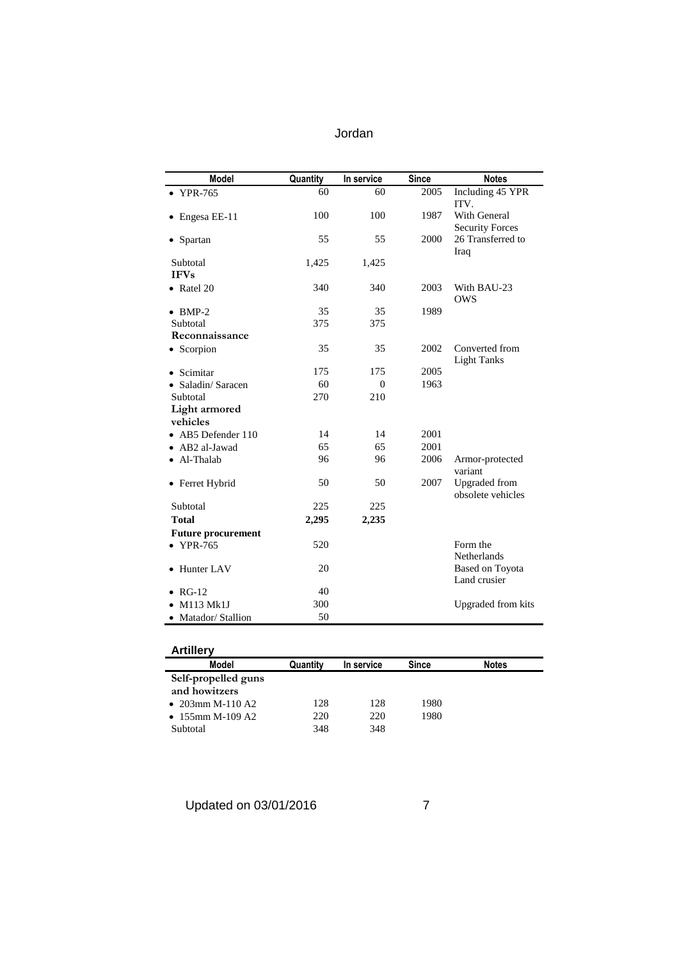| <b>Model</b>              | Quantity | In service | <b>Since</b> | <b>Notes</b>                              |
|---------------------------|----------|------------|--------------|-------------------------------------------|
| $\bullet$ YPR-765         | 60       | 60         | 2005         | Including 45 YPR<br>ITV.                  |
| Engesa EE-11              | 100      | 100        | 1987         | With General<br><b>Security Forces</b>    |
| • Spartan                 | 55       | 55         | 2000         | 26 Transferred to<br>Iraq                 |
| Subtotal<br><b>IFVs</b>   | 1,425    | 1,425      |              |                                           |
| • Ratel $20$              | 340      | 340        | 2003         | With BAU-23<br><b>OWS</b>                 |
| $\bullet$ BMP-2           | 35       | 35         | 1989         |                                           |
| Subtotal                  | 375      | 375        |              |                                           |
| Reconnaissance            |          |            |              |                                           |
| • Scorpion                | 35       | 35         | 2002         | Converted from<br><b>Light Tanks</b>      |
| Scimitar                  | 175      | 175        | 2005         |                                           |
| Saladin/Saracen           | 60       | $\theta$   | 1963         |                                           |
| Subtotal                  | 270      | 210        |              |                                           |
| Light armored             |          |            |              |                                           |
| vehicles                  |          |            |              |                                           |
| • AB5 Defender 110        | 14       | 14         | 2001         |                                           |
| • AB2 al-Jawad            | 65       | 65         | 2001         |                                           |
| • Al-Thalab               | 96       | 96         | 2006         | Armor-protected<br>variant                |
| • Ferret Hybrid           | 50       | 50         | 2007         | <b>Upgraded</b> from<br>obsolete vehicles |
| Subtotal                  | 225      | 225        |              |                                           |
| <b>Total</b>              | 2,295    | 2,235      |              |                                           |
| <b>Future procurement</b> |          |            |              |                                           |
| $\bullet$ YPR-765         | 520      |            |              | Form the<br>Netherlands                   |
| • Hunter LAV              | 20       |            |              | Based on Toyota<br>Land crusier           |
| $RG-12$                   | 40       |            |              |                                           |
| M113 Mk1J                 | 300      |            |              | <b>Upgraded from kits</b>                 |
| • Matador/ Stallion       | 50       |            |              |                                           |

| <b>Artillery</b>    |          |            |       |              |
|---------------------|----------|------------|-------|--------------|
| Model               | Quantity | In service | Since | <b>Notes</b> |
| Self-propelled guns |          |            |       |              |
| and howitzers       |          |            |       |              |
| • $203$ mm M-110 A2 | 128      | 128        | 1980  |              |
| • 155mm M-109 A2    | 220      | 220        | 1980  |              |
| Subtotal            | 348      | 348        |       |              |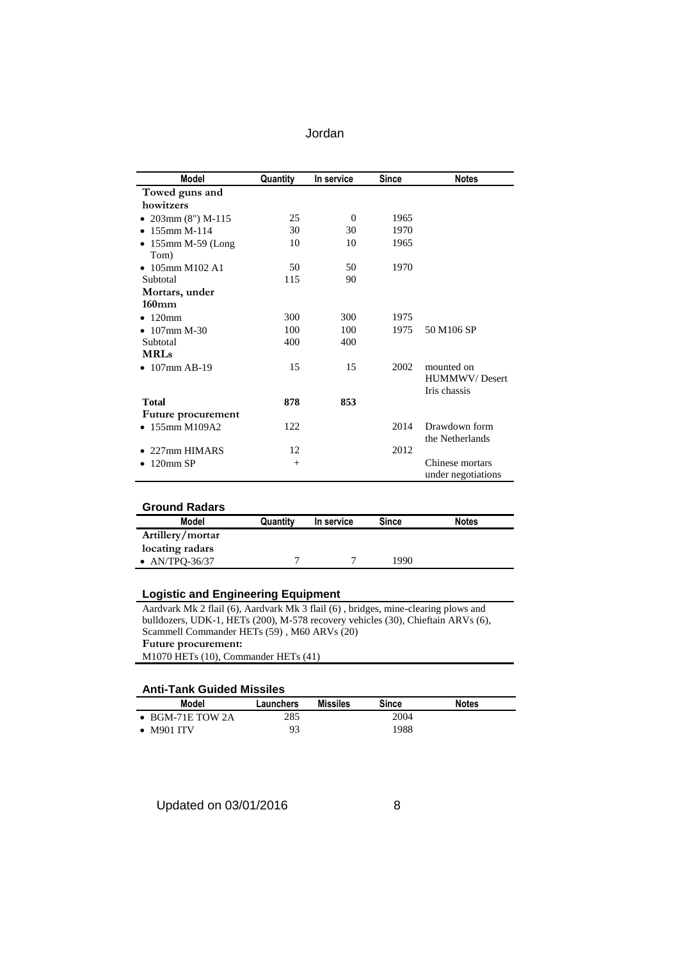| Jordan |
|--------|
|--------|

| Model                        | Quantity | In service | <b>Since</b> | <b>Notes</b>                          |
|------------------------------|----------|------------|--------------|---------------------------------------|
| Towed guns and               |          |            |              |                                       |
| howitzers                    |          |            |              |                                       |
| • $203 \text{mm}$ (8") M-115 | 25       | $\Omega$   | 1965         |                                       |
| $\bullet$ 155mm M-114        | 30       | 30         | 1970         |                                       |
| $\bullet$ 155mm M-59 (Long   | 10       | 10         | 1965         |                                       |
| Tom)                         |          |            |              |                                       |
| • $105$ mm M $102$ A $1$     | 50       | 50         | 1970         |                                       |
| Subtotal                     | 115      | 90         |              |                                       |
| Mortars, under               |          |            |              |                                       |
| $160$ mm                     |          |            |              |                                       |
| $\bullet$ 120mm              | 300      | 300        | 1975         |                                       |
| $\bullet$ 107mm M-30         | 100      | 100        | 1975         | 50 M106 SP                            |
| Subtotal                     | 400      | 400        |              |                                       |
| <b>MRLs</b>                  |          |            |              |                                       |
| $\bullet$ 107mm AB-19        | 15       | 15         | 2002         | mounted on                            |
|                              |          |            |              | <b>HUMMWV/Desert</b>                  |
|                              |          |            |              | Iris chassis                          |
| <b>Total</b>                 | 878      | 853        |              |                                       |
| <b>Future procurement</b>    |          |            |              |                                       |
| $\bullet$ 155mm M109A2       | 122      |            | 2014         | Drawdown form                         |
|                              |          |            |              | the Netherlands                       |
| 227mm HIMARS                 | 12       |            | 2012         |                                       |
| 120mm SP                     | $^{+}$   |            |              | Chinese mortars<br>under negotiations |

| <b>Ground Radars</b> |          |            |              |              |
|----------------------|----------|------------|--------------|--------------|
| Model                | Quantity | In service | <b>Since</b> | <b>Notes</b> |
| Artillery/mortar     |          |            |              |              |
| locating radars      |          |            |              |              |
| • $AN/TPO-36/37$     |          |            | 1990         |              |

#### **Logistic and Engineering Equipment**

Aardvark Mk 2 flail (6), Aardvark Mk 3 flail (6) , bridges, mine-clearing plows and bulldozers, UDK-1, HETs (200), M-578 recovery vehicles (30), Chieftain ARVs (6), Scammell Commander HETs (59) , M60 ARVs (20) **Future procurement:** M1070 HETs (10), Commander HETs (41)

#### **Anti-Tank Guided Missiles**

| ANG-TANG DANGGI MGANGA   |           |                 |       |              |  |  |
|--------------------------|-----------|-----------------|-------|--------------|--|--|
| Model                    | Launchers | <b>Missiles</b> | Since | <b>Notes</b> |  |  |
| $\bullet$ BGM-71E TOW 2A | 285       |                 | 2004  |              |  |  |
| $\bullet$ M901 ITV       |           |                 | 1988  |              |  |  |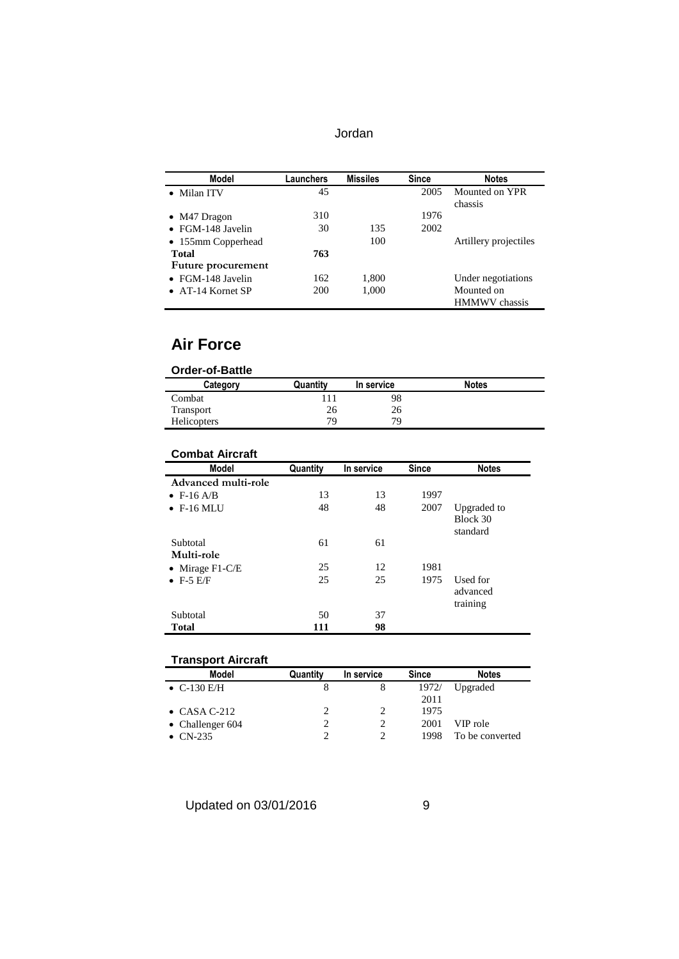| Jordan |
|--------|
|--------|

| Model                     | Launchers | <b>Missiles</b> | <b>Since</b> | <b>Notes</b>          |
|---------------------------|-----------|-----------------|--------------|-----------------------|
| • Milan ITV               | 45        |                 | 2005         | Mounted on YPR        |
|                           |           |                 |              | chassis               |
| $\bullet$ M47 Dragon      | 310       |                 | 1976         |                       |
| $\bullet$ FGM-148 Javelin | 30        | 135             | 2002         |                       |
| • 155mm Copperhead        |           | 100             |              | Artillery projectiles |
| <b>Total</b>              | 763       |                 |              |                       |
| Future procurement        |           |                 |              |                       |
| • FGM-148 Javelin         | 162       | 1,800           |              | Under negotiations    |
| $\bullet$ AT-14 Kornet SP | 200       | 1,000           |              | Mounted on            |
|                           |           |                 |              | <b>HMMWV</b> chassis  |

## **Air Force**

| <b>Order-of-Battle</b> |          |            |              |  |
|------------------------|----------|------------|--------------|--|
| Category               | Quantity | In service | <b>Notes</b> |  |
| Combat                 | 111      | 98         |              |  |
| Transport              | 26       | 26         |              |  |
| Helicopters            | 79       | 79         |              |  |

# **Combat Aircraft**

| <b>Model</b>        | Quantity | In service | <b>Since</b> | <b>Notes</b>                        |
|---------------------|----------|------------|--------------|-------------------------------------|
| Advanced multi-role |          |            |              |                                     |
| $\bullet$ F-16 A/B  | 13       | 13         | 1997         |                                     |
| $\bullet$ F-16 MLU  | 48       | 48         | 2007         | Upgraded to<br>Block 30<br>standard |
| Subtotal            | 61       | 61         |              |                                     |
| Multi-role          |          |            |              |                                     |
| • Mirage $F1-C/E$   | 25       | 12         | 1981         |                                     |
| $\bullet$ F-5 E/F   | 25       | 25         | 1975         | Used for<br>advanced<br>training    |
| Subtotal            | 50       | 37         |              |                                     |
| <b>Total</b>        | 111      | 98         |              |                                     |

| <b>Transport Aircraft</b> |          |                             |       |                 |
|---------------------------|----------|-----------------------------|-------|-----------------|
| Model                     | Quantity | In service                  | Since | <b>Notes</b>    |
| • $C-130$ E/H             | 8        | 8                           | 1972/ | Upgraded        |
|                           |          |                             | 2011  |                 |
| $\bullet$ CASA C-212      |          | $\mathcal{D}_{\mathcal{A}}$ | 1975  |                 |
| • Challenger $604$        |          |                             | 2001  | VIP role        |
| $CN-235$                  |          |                             | 1998  | To be converted |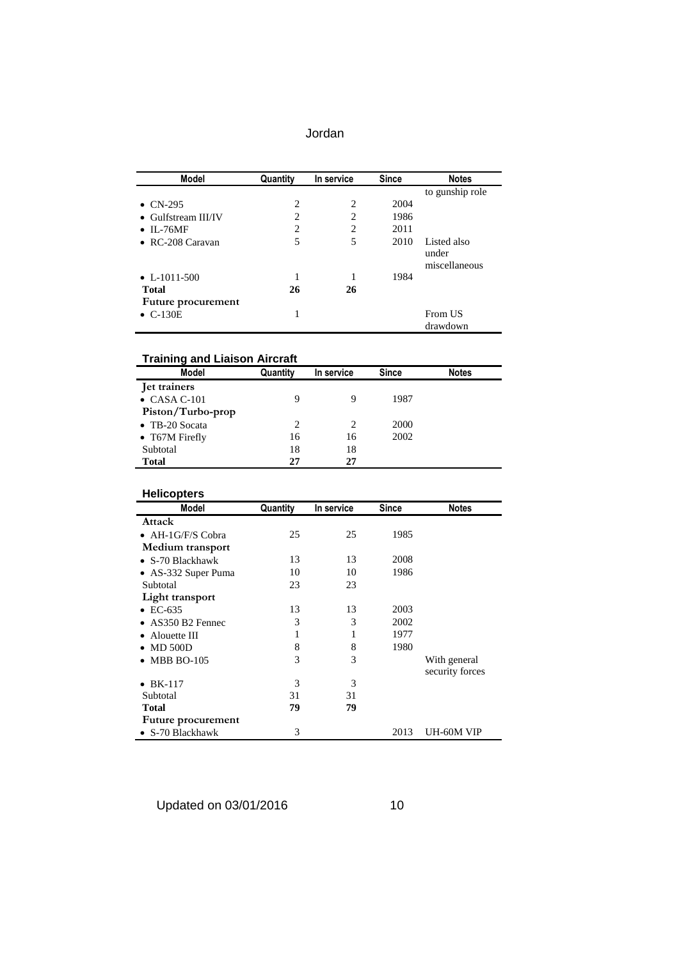| Jordan |
|--------|
|--------|

| Model                       | Quantity | In service     | <b>Since</b> | <b>Notes</b>         |
|-----------------------------|----------|----------------|--------------|----------------------|
|                             |          |                |              | to gunship role      |
| $\bullet$ CN-295            | 2        | $\overline{c}$ | 2004         |                      |
| $\bullet$ Gulfstream III/IV | 2        | $\overline{c}$ | 1986         |                      |
| $\bullet$ IL-76MF           | 2        | $\overline{c}$ | 2011         |                      |
| $\bullet$ RC-208 Caravan    | 5        | 5              | 2010         | Listed also<br>under |
|                             |          |                |              | miscellaneous        |
| • $L-1011-500$              | 1        |                | 1984         |                      |
| <b>Total</b>                | 26       | 26             |              |                      |
| Future procurement          |          |                |              |                      |
| $\bullet$ C-130E            | 1        |                |              | From US<br>drawdown  |

#### **Training and Liaison Aircraft**

| Model                  | Quantity | In service | <b>Since</b> | <b>Notes</b> |
|------------------------|----------|------------|--------------|--------------|
| Jet trainers           |          |            |              |              |
| $\bullet$ CASA C-101   | 9        | 9          | 1987         |              |
| Piston/Turbo-prop      |          |            |              |              |
| $\bullet$ TB-20 Socata | 2        | 2          | 2000         |              |
| • T67M Firefly         | 16       | 16         | 2002         |              |
| Subtotal               | 18       | 18         |              |              |
| <b>Total</b>           | 27       | 27         |              |              |

#### **Helicopters**

| Model                     | Quantity | In service | <b>Since</b> | <b>Notes</b>    |
|---------------------------|----------|------------|--------------|-----------------|
| Attack                    |          |            |              |                 |
| $\bullet$ AH-1G/F/S Cobra | 25       | 25         | 1985         |                 |
| Medium transport          |          |            |              |                 |
| $\bullet$ S-70 Blackhawk  | 13       | 13         | 2008         |                 |
| • AS-332 Super Puma       | 10       | 10         | 1986         |                 |
| Subtotal                  | 23       | 23         |              |                 |
| Light transport           |          |            |              |                 |
| $\bullet$ EC-635          | 13       | 13         | 2003         |                 |
| $\bullet$ AS350 B2 Fennec | 3        | 3          | 2002         |                 |
| Alouette III              | 1        | 1          | 1977         |                 |
| $\bullet$ MD 500D         | 8        | 8          | 1980         |                 |
| <b>MBB BO-105</b>         | 3        | 3          |              | With general    |
|                           |          |            |              | security forces |
| <b>BK-117</b>             | 3        | 3          |              |                 |
| Subtotal                  | 31       | 31         |              |                 |
| <b>Total</b>              | 79       | 79         |              |                 |
| Future procurement        |          |            |              |                 |
| $\bullet$ S-70 Blackhawk  | 3        |            | 2013         | UH-60M VIP      |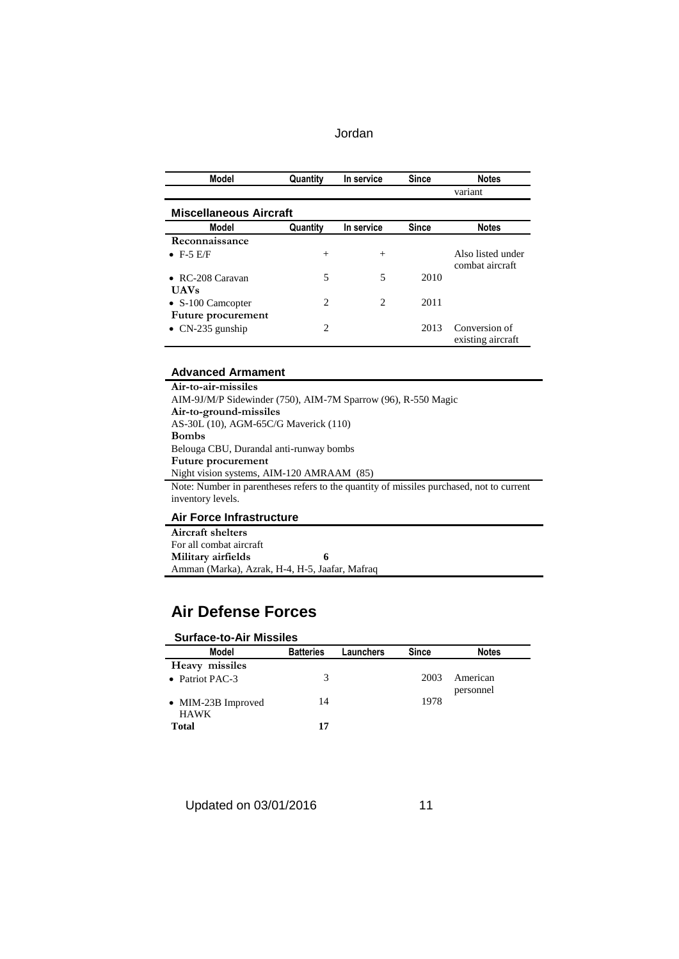| Model                         | Quantity | In service | <b>Since</b> | <b>Notes</b>                         |
|-------------------------------|----------|------------|--------------|--------------------------------------|
|                               |          |            |              | variant                              |
| <b>Miscellaneous Aircraft</b> |          |            |              |                                      |
| Model                         | Quantity | In service | <b>Since</b> | <b>Notes</b>                         |
| Reconnaissance                |          |            |              |                                      |
| $\bullet$ F-5 E/F             | $^{+}$   | $^{+}$     |              | Also listed under<br>combat aircraft |
| $\bullet$ RC-208 Caravan      | 5        | 5          | 2010         |                                      |
| <b>UAVs</b>                   |          |            |              |                                      |
| $\bullet$ S-100 Camcopter     | 2        | 2          | 2011         |                                      |
| Future procurement            |          |            |              |                                      |
| $\bullet$ CN-235 gunship      | 2        |            | 2013         | Conversion of<br>existing aircraft   |

#### **Advanced Armament**

| Air-to-air-missiles                                                                      |
|------------------------------------------------------------------------------------------|
| AIM-9J/M/P Sidewinder (750), AIM-7M Sparrow (96), R-550 Magic                            |
| Air-to-ground-missiles                                                                   |
| AS-30L (10), AGM-65C/G Maverick (110)                                                    |
| <b>Bombs</b>                                                                             |
| Belouga CBU, Durandal anti-runway bombs                                                  |
| <b>Future procurement</b>                                                                |
| Night vision systems, AIM-120 AMRAAM (85)                                                |
| Note: Number in parentheses refers to the quantity of missiles purchased, not to current |
| inventory levels.                                                                        |
|                                                                                          |

### **Air Force Infrastructure**

| Aircraft shelters                              |  |
|------------------------------------------------|--|
| For all combat aircraft                        |  |
| Military airfields                             |  |
| Amman (Marka), Azrak, H-4, H-5, Jaafar, Mafraq |  |

# **Air Defense Forces**

| <b>Surface-to-Air Missiles</b> |                  |           |              |              |
|--------------------------------|------------------|-----------|--------------|--------------|
| Model                          | <b>Batteries</b> | Launchers | <b>Since</b> | <b>Notes</b> |
| Heavy missiles                 |                  |           |              |              |
| • Patriot PAC-3                | 3                |           | 2003         | American     |
|                                |                  |           |              | personnel    |
| • MIM-23B Improved             | 14               |           | 1978         |              |
| <b>HAWK</b>                    |                  |           |              |              |
| <b>Total</b>                   | 17               |           |              |              |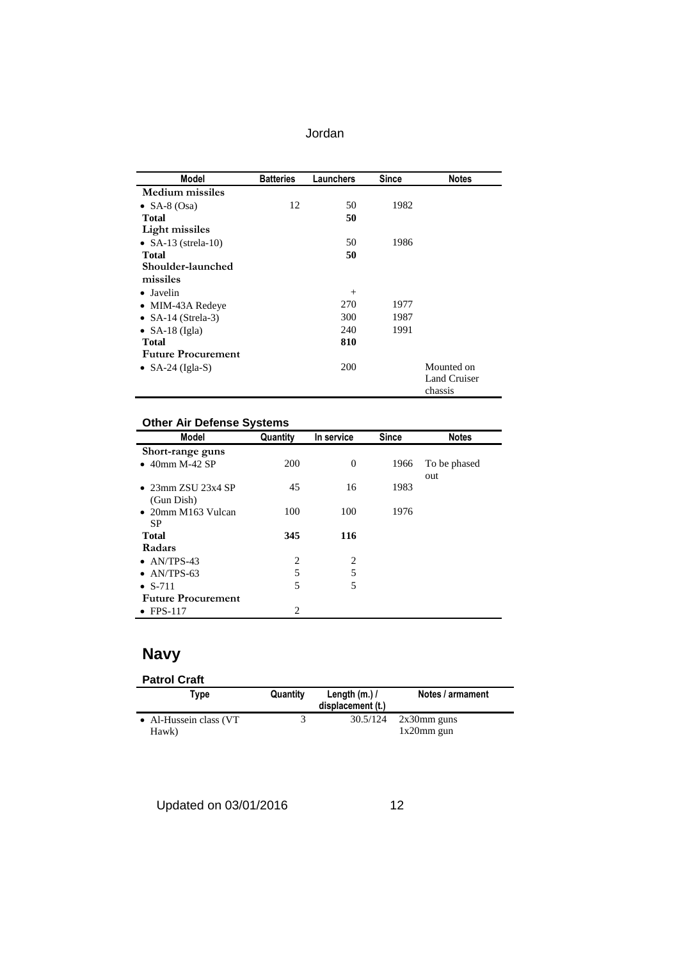| Jordan |
|--------|
|--------|

| <b>Model</b>              | <b>Batteries</b> | Launchers | Since | <b>Notes</b>        |
|---------------------------|------------------|-----------|-------|---------------------|
| <b>Medium</b> missiles    |                  |           |       |                     |
| • SA-8 $(Osa)$            | 12               | 50        | 1982  |                     |
| <b>Total</b>              |                  | 50        |       |                     |
| <b>Light missiles</b>     |                  |           |       |                     |
| • SA-13 (strela-10)       |                  | 50        | 1986  |                     |
| Total                     |                  | 50        |       |                     |
| Shoulder-launched         |                  |           |       |                     |
| missiles                  |                  |           |       |                     |
| $\bullet$ Javelin         |                  | $+$       |       |                     |
| • MIM-43A Redeye          |                  | 270       | 1977  |                     |
| • $SA-14$ (Strela-3)      |                  | 300       | 1987  |                     |
| • SA-18 (Igla)            |                  | 240       | 1991  |                     |
| <b>Total</b>              |                  | 810       |       |                     |
| <b>Future Procurement</b> |                  |           |       |                     |
| • $SA-24$ (Igla-S)        |                  | 200       |       | Mounted on          |
|                           |                  |           |       | <b>Land Cruiser</b> |
|                           |                  |           |       | chassis             |

## **Other Air Defense Systems**

| <b>Model</b>               | Quantity | In service     | <b>Since</b> | <b>Notes</b> |
|----------------------------|----------|----------------|--------------|--------------|
| Short-range guns           |          |                |              |              |
| $\bullet$ 40mm M-42 SP     | 200      | $\overline{0}$ | 1966         | To be phased |
|                            |          |                |              | out          |
| $\bullet$ 23mm ZSU 23x4 SP | 45       | 16             | 1983         |              |
| (Gun Dish)                 |          |                |              |              |
| $\bullet$ 20mm M163 Vulcan | 100      | 100            | 1976         |              |
| <b>SP</b>                  |          |                |              |              |
| <b>Total</b>               | 345      | 116            |              |              |
| Radars                     |          |                |              |              |
| $\bullet$ AN/TPS-43        | 2        | 2              |              |              |
| $\bullet$ AN/TPS-63        | 5        | 5              |              |              |
| $\bullet$ S-711            | 5        | 5              |              |              |
| <b>Future Procurement</b>  |          |                |              |              |
| $\bullet$ FPS-117          | 2        |                |              |              |

# **Navy**

| <b>Patrol Craft</b>              |          |                                     |                                 |
|----------------------------------|----------|-------------------------------------|---------------------------------|
| Type                             | Quantity | Length $(m.)/$<br>displacement (t.) | Notes / armament                |
| • Al-Hussein class (VT)<br>Hawk) |          | 30.5/124                            | $2x30$ mm guns<br>$1x20$ mm gun |